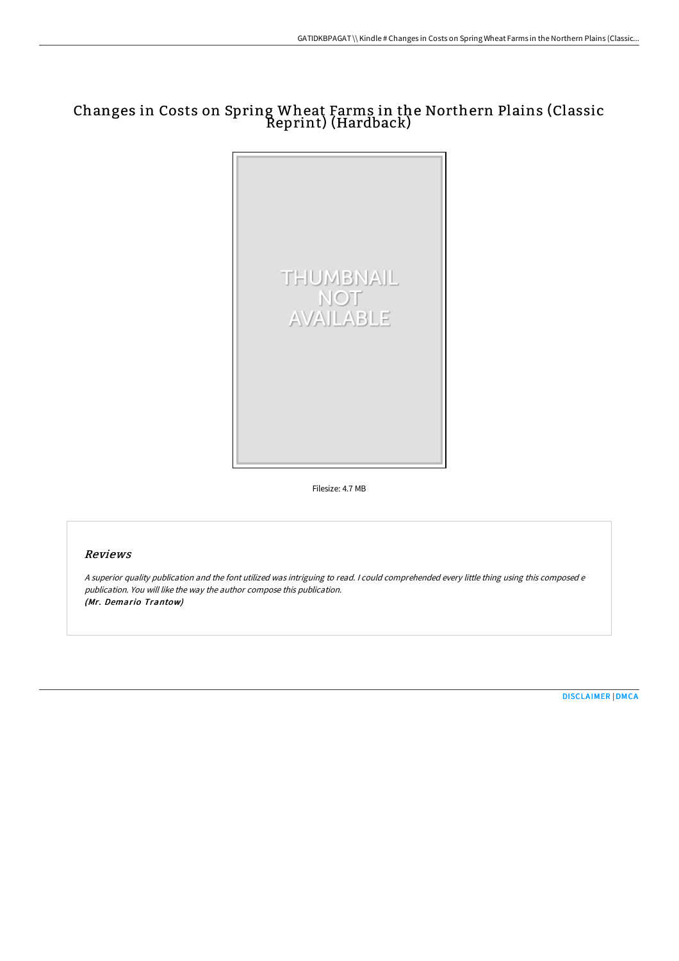## Changes in Costs on Spring Wheat Farms in the Northern Plains (Classic Reprint) (Hardback)



Filesize: 4.7 MB

## Reviews

<sup>A</sup> superior quality publication and the font utilized was intriguing to read. <sup>I</sup> could comprehended every little thing using this composed <sup>e</sup> publication. You will like the way the author compose this publication. (Mr. Demario Trantow)

[DISCLAIMER](http://techno-pub.tech/disclaimer.html) | [DMCA](http://techno-pub.tech/dmca.html)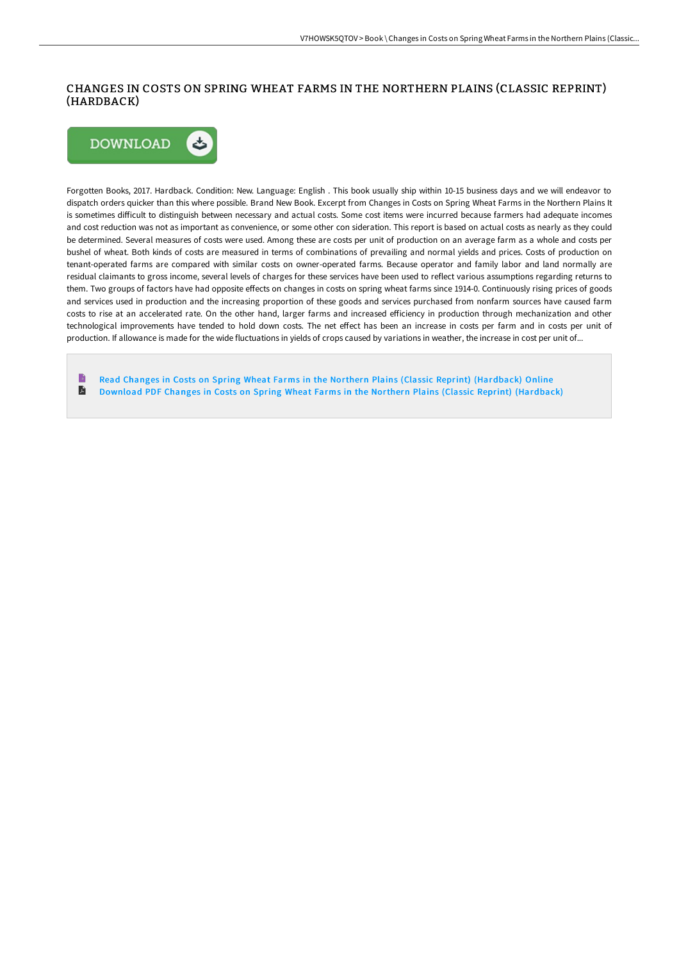## CHANGES IN COSTS ON SPRING WHEAT FARMS IN THE NORTHERN PLAINS (CLASSIC REPRINT) (HARDBACK)



Forgotten Books, 2017. Hardback. Condition: New. Language: English . This book usually ship within 10-15 business days and we will endeavor to dispatch orders quicker than this where possible. Brand New Book. Excerpt from Changes in Costs on Spring Wheat Farms in the Northern Plains It is sometimes difficult to distinguish between necessary and actual costs. Some cost items were incurred because farmers had adequate incomes and cost reduction was not as important as convenience, or some other con sideration. This report is based on actual costs as nearly as they could be determined. Several measures of costs were used. Among these are costs per unit of production on an average farm as a whole and costs per bushel of wheat. Both kinds of costs are measured in terms of combinations of prevailing and normal yields and prices. Costs of production on tenant-operated farms are compared with similar costs on owner-operated farms. Because operator and family labor and land normally are residual claimants to gross income, several levels of charges for these services have been used to reflect various assumptions regarding returns to them. Two groups of factors have had opposite effects on changes in costs on spring wheat farms since 1914-0. Continuously rising prices of goods and services used in production and the increasing proportion of these goods and services purchased from nonfarm sources have caused farm costs to rise at an accelerated rate. On the other hand, larger farms and increased efficiency in production through mechanization and other technological improvements have tended to hold down costs. The net effect has been an increase in costs per farm and in costs per unit of production. If allowance is made for the wide fluctuations in yields of crops caused by variations in weather, the increase in cost per unit of...

Read Changes in Costs on Spring Wheat Farms in the Northern Plains (Classic Reprint) [\(Hardback\)](http://techno-pub.tech/changes-in-costs-on-spring-wheat-farms-in-the-no.html) Online E Download PDF Changes in Costs on Spring Wheat Farms in the Northern Plains (Classic Reprint) [\(Hardback\)](http://techno-pub.tech/changes-in-costs-on-spring-wheat-farms-in-the-no.html)